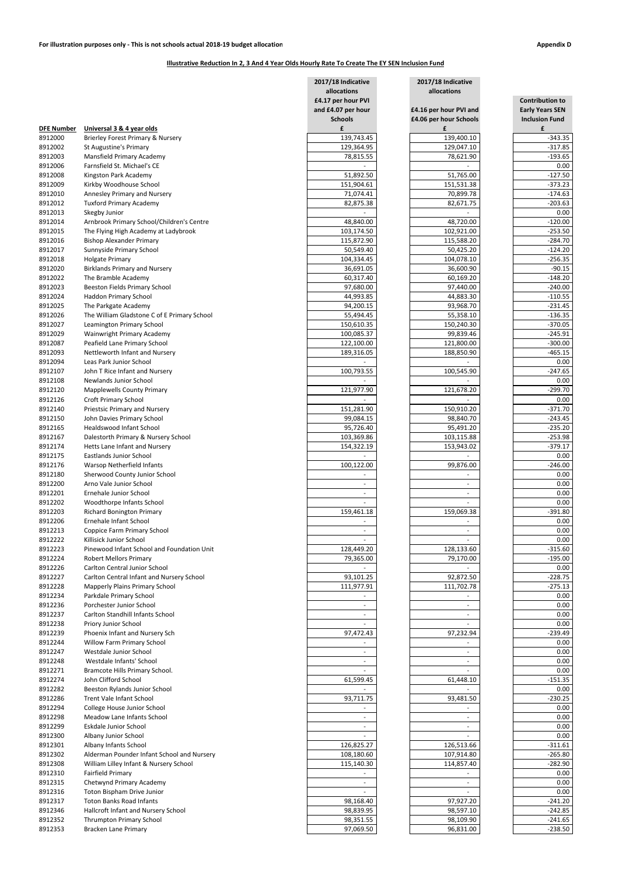|                    |                                                        | 2017/18 Indicative       | 2017/18 Indicative                    |                                                  |  |
|--------------------|--------------------------------------------------------|--------------------------|---------------------------------------|--------------------------------------------------|--|
|                    |                                                        | allocations              | allocations<br>£4.16 per hour PVI and | <b>Contribution to</b><br><b>Early Years SEN</b> |  |
|                    |                                                        | £4.17 per hour PVI       |                                       |                                                  |  |
|                    |                                                        | and £4.07 per hour       |                                       |                                                  |  |
| <b>DFE Number</b>  | Universal 3 & 4 year olds                              | <b>Schools</b><br>£      | £4.06 per hour Schools<br>£           | <b>Inclusion Fund</b><br>£                       |  |
| 8912000            | Brierley Forest Primary & Nursery                      | 139,743.45               | 139,400.10                            | $-343.35$                                        |  |
| 8912002            | St Augustine's Primary                                 | 129,364.95               | 129,047.10                            | $-317.85$                                        |  |
| 8912003            | Mansfield Primary Academy                              | 78,815.55                | 78,621.90                             | $-193.65$                                        |  |
| 8912006            | Farnsfield St. Michael's CE                            |                          |                                       | 0.00                                             |  |
| 8912008            | Kingston Park Academy                                  | 51,892.50                | 51,765.00                             | $-127.50$                                        |  |
| 8912009            | Kirkby Woodhouse School                                | 151,904.61               | 151,531.38                            | $-373.23$                                        |  |
| 8912010            | Annesley Primary and Nursery                           | 71,074.41                | 70,899.78                             | $-174.63$                                        |  |
| 8912012            | <b>Tuxford Primary Academy</b>                         | 82,875.38                | 82,671.75                             | $-203.63$                                        |  |
| 8912013            | Skegby Junior                                          |                          |                                       | 0.00                                             |  |
| 8912014            | Arnbrook Primary School/Children's Centre              | 48,840.00                | 48,720.00                             | $-120.00$                                        |  |
| 8912015            | The Flying High Academy at Ladybrook                   | 103,174.50               | 102,921.00                            | $-253.50$                                        |  |
| 8912016            | <b>Bishop Alexander Primary</b>                        | 115,872.90               | 115,588.20                            | $-284.70$                                        |  |
| 8912017            | Sunnyside Primary School                               | 50,549.40                | 50,425.20                             | $-124.20$                                        |  |
| 8912018            | <b>Holgate Primary</b>                                 | 104,334.45               | 104,078.10                            | $-256.35$                                        |  |
| 8912020            | <b>Birklands Primary and Nursery</b>                   | 36,691.05                | 36,600.90                             | $-90.15$                                         |  |
| 8912022            | The Bramble Academy                                    | 60,317.40                | 60,169.20                             | $-148.20$                                        |  |
| 8912023            | <b>Beeston Fields Primary School</b>                   | 97,680.00                | 97,440.00                             | $-240.00$                                        |  |
| 8912024            | Haddon Primary School                                  | 44,993.85                | 44,883.30                             | $-110.55$                                        |  |
| 8912025            | The Parkgate Academy                                   | 94,200.15                | 93,968.70                             | $-231.45$                                        |  |
| 8912026            | The William Gladstone C of E Primary School            | 55,494.45                | 55,358.10                             | $-136.35$                                        |  |
| 8912027            | Leamington Primary School                              | 150,610.35               | 150,240.30                            | $-370.05$                                        |  |
| 8912029            | Wainwright Primary Academy                             | 100,085.37               | 99,839.46                             | $-245.91$                                        |  |
| 8912087            | Peafield Lane Primary School                           | 122,100.00               | 121,800.00                            | $-300.00$                                        |  |
| 8912093            | Nettleworth Infant and Nursery                         | 189,316.05               | 188,850.90                            | $-465.15$                                        |  |
| 8912094            | Leas Park Junior School                                |                          |                                       | 0.00                                             |  |
| 8912107            | John T Rice Infant and Nursery                         | 100,793.55               | 100,545.90                            | $-247.65$                                        |  |
| 8912108            | Newlands Junior School                                 |                          |                                       | 0.00                                             |  |
| 8912120            | <b>Mapplewells County Primary</b>                      | 121,977.90               | 121,678.20                            | $-299.70$                                        |  |
| 8912126            | <b>Croft Primary School</b>                            |                          |                                       | 0.00                                             |  |
| 8912140            | <b>Priestsic Primary and Nursery</b>                   | 151,281.90               | 150,910.20                            | $-371.70$                                        |  |
| 8912150            | John Davies Primary School                             | 99,084.15                | 98,840.70                             | $-243.45$                                        |  |
| 8912165            | Healdswood Infant School                               | 95,726.40                | 95,491.20                             | $-235.20$                                        |  |
| 8912167            | Dalestorth Primary & Nursery School                    | 103,369.86               | 103,115.88                            | $-253.98$                                        |  |
| 8912174            | Hetts Lane Infant and Nursery                          | 154,322.19               | 153,943.02                            | $-379.17$                                        |  |
| 8912175            | <b>Eastlands Junior School</b>                         |                          |                                       | 0.00                                             |  |
| 8912176            | Warsop Netherfield Infants                             | 100,122.00               | 99,876.00                             | $-246.00$                                        |  |
| 8912180            | Sherwood County Junior School                          |                          |                                       | 0.00                                             |  |
| 8912200            | Arno Vale Junior School                                |                          |                                       | 0.00                                             |  |
| 8912201            | Ernehale Junior School                                 |                          |                                       | 0.00                                             |  |
| 8912202            | Woodthorpe Infants School                              |                          |                                       | 0.00                                             |  |
| 8912203            | <b>Richard Bonington Primary</b>                       | 159,461.18               | 159,069.38                            | $-391.80$                                        |  |
| 8912206            | Ernehale Infant School                                 |                          |                                       | 0.00                                             |  |
| 8912213            | Coppice Farm Primary School<br>Killisick Junior School |                          |                                       | 0.00<br>0.00                                     |  |
| 8912222<br>8912223 | Pinewood Infant School and Foundation Unit             | 128,449.20               | 128,133.60                            | $-315.60$                                        |  |
| 8912224            | <b>Robert Mellors Primary</b>                          | 79,365.00                | 79,170.00                             | $-195.00$                                        |  |
| 8912226            | Carlton Central Junior School                          |                          |                                       | 0.00                                             |  |
| 8912227            | Carlton Central Infant and Nursery School              | 93,101.25                | 92,872.50                             | $-228.75$                                        |  |
| 8912228            | <b>Mapperly Plains Primary School</b>                  | 111,977.91               | 111,702.78                            | $-275.13$                                        |  |
| 8912234            | Parkdale Primary School                                |                          |                                       | 0.00                                             |  |
| 8912236            | Porchester Junior School                               | $\overline{\phantom{a}}$ | $\overline{\phantom{a}}$              | 0.00                                             |  |
| 8912237            | Carlton Standhill Infants School                       |                          | $\overline{\phantom{a}}$              | 0.00                                             |  |
| 8912238            | Priory Junior School                                   |                          |                                       | 0.00                                             |  |
| 8912239            | Phoenix Infant and Nursery Sch                         | 97,472.43                | 97,232.94                             | $-239.49$                                        |  |
| 8912244            | Willow Farm Primary School                             |                          |                                       | 0.00                                             |  |
| 8912247            | Westdale Junior School                                 |                          |                                       | 0.00                                             |  |
| 8912248            | Westdale Infants' School                               |                          |                                       | 0.00                                             |  |
| 8912271            | Bramcote Hills Primary School.                         |                          |                                       | 0.00                                             |  |
| 8912274            | John Clifford School                                   | 61,599.45                | 61,448.10                             | $-151.35$                                        |  |
| 8912282            | Beeston Rylands Junior School                          |                          |                                       | 0.00                                             |  |
| 8912286            | Trent Vale Infant School                               | 93,711.75                | 93,481.50                             | $-230.25$                                        |  |
| 8912294            | College House Junior School                            |                          |                                       | 0.00                                             |  |
| 8912298            | Meadow Lane Infants School                             |                          |                                       | 0.00                                             |  |
| 8912299            | Eskdale Junior School                                  |                          | $\overline{\phantom{a}}$              | 0.00                                             |  |
| 8912300            | Albany Junior School                                   |                          |                                       | $0.00\,$                                         |  |
| 8912301            | Albany Infants School                                  | 126,825.27               | 126,513.66                            | $-311.61$                                        |  |
| 8912302            | Alderman Pounder Infant School and Nursery             | 108,180.60               | 107,914.80                            | $-265.80$                                        |  |
| 8912308            | William Lilley Infant & Nursery School                 | 115,140.30               | 114,857.40                            | $-282.90$                                        |  |
| 8912310            | Fairfield Primary                                      |                          |                                       | 0.00                                             |  |
| 8912315            | Chetwynd Primary Academy                               |                          | $\overline{\phantom{a}}$              | 0.00                                             |  |
| 8912316            | Toton Bispham Drive Junior                             |                          |                                       | 0.00                                             |  |
| 8912317            | <b>Toton Banks Road Infants</b>                        | 98,168.40                | 97,927.20                             | $-241.20$                                        |  |
| 8912346            | Hallcroft Infant and Nursery School                    | 98,839.95                | 98,597.10                             | $-242.85$                                        |  |
| 8912352            | <b>Thrumpton Primary School</b>                        | 98,351.55                | 98,109.90                             | $-241.65$                                        |  |
| 8912353            | <b>Bracken Lane Primary</b>                            | 97,069.50                | 96,831.00                             | $-238.50$                                        |  |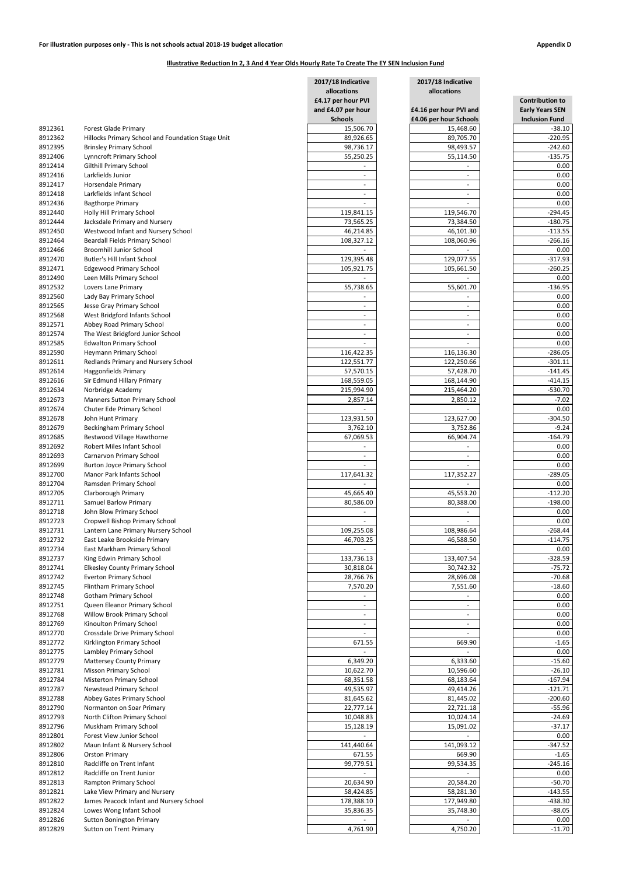|                    |                                                                     | 2017/18 Indicative                            | 2017/18 Indicative                    |                                                  |  |
|--------------------|---------------------------------------------------------------------|-----------------------------------------------|---------------------------------------|--------------------------------------------------|--|
|                    |                                                                     | allocations<br>£4.17 per hour PVI             | allocations<br>£4.16 per hour PVI and | <b>Contribution to</b><br><b>Early Years SEN</b> |  |
|                    |                                                                     | and £4.07 per hour                            |                                       |                                                  |  |
|                    |                                                                     | <b>Schools</b>                                | £4.06 per hour Schools                | <b>Inclusion Fund</b>                            |  |
| 8912361            | <b>Forest Glade Primary</b>                                         | 15,506.70                                     | 15,468.60                             | $-38.10$                                         |  |
| 8912362            | Hillocks Primary School and Foundation Stage Unit                   | 89,926.65                                     | 89,705.70                             | $-220.95$                                        |  |
| 8912395            | <b>Brinsley Primary School</b>                                      | 98,736.17                                     | 98,493.57                             | $-242.60$                                        |  |
| 8912406            | <b>Lynncroft Primary School</b>                                     | 55,250.25                                     | 55,114.50                             | $-135.75$                                        |  |
| 8912414            | <b>Gilthill Primary School</b>                                      |                                               |                                       | 0.00                                             |  |
| 8912416            | Larkfields Junior                                                   | $\overline{\phantom{a}}$                      | $\overline{\phantom{a}}$              | 0.00                                             |  |
| 8912417<br>8912418 | Horsendale Primary<br>Larkfields Infant School                      | $\overline{\phantom{0}}$                      |                                       | 0.00<br>0.00                                     |  |
| 8912436            | <b>Bagthorpe Primary</b>                                            |                                               |                                       | 0.00                                             |  |
| 8912440            | Holly Hill Primary School                                           | 119,841.15                                    | 119,546.70                            | $-294.45$                                        |  |
| 8912444            | Jacksdale Primary and Nursery                                       | 73,565.25                                     | 73,384.50                             | $-180.75$                                        |  |
| 8912450            | Westwood Infant and Nursery School                                  | 46,214.85                                     | 46,101.30                             | $-113.55$                                        |  |
| 8912464            | <b>Beardall Fields Primary School</b>                               | 108,327.12                                    | 108,060.96                            | $-266.16$                                        |  |
| 8912466            | <b>Broomhill Junior School</b>                                      |                                               |                                       | 0.00                                             |  |
| 8912470            | <b>Butler's Hill Infant School</b>                                  | 129,395.48                                    | 129,077.55                            | $-317.93$                                        |  |
| 8912471            | <b>Edgewood Primary School</b>                                      | 105,921.75                                    | 105,661.50                            | $-260.25$                                        |  |
| 8912490            | Leen Mills Primary School                                           |                                               |                                       | 0.00<br>$-136.95$                                |  |
| 8912532<br>8912560 | Lovers Lane Primary<br>Lady Bay Primary School                      | 55,738.65                                     | 55,601.70                             | 0.00                                             |  |
| 8912565            | Jesse Gray Primary School                                           | $\overline{\phantom{0}}$                      | $\overline{\phantom{0}}$              | 0.00                                             |  |
| 8912568            | West Bridgford Infants School                                       |                                               |                                       | 0.00                                             |  |
| 8912571            | Abbey Road Primary School                                           | $\overline{\phantom{a}}$                      | $\overline{\phantom{a}}$              | 0.00                                             |  |
| 8912574            | The West Bridgford Junior School                                    | $\overline{\phantom{a}}$                      | $\overline{\phantom{a}}$              | 0.00                                             |  |
| 8912585            | <b>Edwalton Primary School</b>                                      |                                               |                                       | 0.00                                             |  |
| 8912590            | Heymann Primary School                                              | 116,422.35                                    | 116,136.30                            | $-286.05$                                        |  |
| 8912611            | Redlands Primary and Nursery School                                 | 122,551.77                                    | 122,250.66                            | $-301.11$                                        |  |
| 8912614            | <b>Haggonfields Primary</b>                                         | 57,570.15                                     | 57,428.70                             | $-141.45$                                        |  |
| 8912616            | Sir Edmund Hillary Primary                                          | 168,559.05                                    | 168,144.90                            | $-414.15$                                        |  |
| 8912634<br>8912673 | Norbridge Academy<br><b>Manners Sutton Primary School</b>           | 215,994.90<br>2,857.14                        | 215,464.20                            | $-530.70$<br>$-7.02$                             |  |
| 8912674            | Chuter Ede Primary School                                           |                                               | 2,850.12                              | $0.00\,$                                         |  |
| 8912678            | John Hunt Primary                                                   | 123,931.50                                    | 123,627.00                            | $-304.50$                                        |  |
| 8912679            | Beckingham Primary School                                           | 3,762.10                                      | 3,752.86                              | $-9.24$                                          |  |
| 8912685            | Bestwood Village Hawthorne                                          | 67,069.53                                     | 66,904.74                             | $-164.79$                                        |  |
| 8912692            | Robert Miles Infant School                                          |                                               |                                       | 0.00                                             |  |
| 8912693            | Carnarvon Primary School                                            | $\overline{\phantom{0}}$                      | $\overline{\phantom{0}}$              | 0.00                                             |  |
| 8912699            | <b>Burton Joyce Primary School</b>                                  |                                               |                                       | 0.00                                             |  |
| 8912700            | Manor Park Infants School                                           | 117,641.32                                    | 117,352.27                            | $-289.05$                                        |  |
| 8912704            | Ramsden Primary School                                              |                                               |                                       | 0.00                                             |  |
| 8912705<br>8912711 | Clarborough Primary<br><b>Samuel Barlow Primary</b>                 | 45,665.40<br>80,586.00                        | 45,553.20<br>80,388.00                | $-112.20$<br>$-198.00$                           |  |
| 8912718            | John Blow Primary School                                            |                                               |                                       | 0.00                                             |  |
| 8912723            | Cropwell Bishop Primary School                                      |                                               |                                       | 0.00                                             |  |
| 8912731            | Lantern Lane Primary Nursery School                                 | 109,255.08                                    | 108,986.64                            | $-268.44$                                        |  |
| 8912732            | East Leake Brookside Primary                                        | 46,703.25                                     | 46,588.50                             | $-114.75$                                        |  |
| 8912734            | East Markham Primary School                                         |                                               |                                       | 0.00                                             |  |
| 8912737            | King Edwin Primary School                                           | 133,736.13                                    | 133,407.54                            | $-328.59$                                        |  |
| 8912741            | <b>Elkesley County Primary School</b>                               | 30,818.04                                     | 30,742.32                             | $-75.72$                                         |  |
| 8912742            | <b>Everton Primary School</b>                                       | 28,766.76                                     | 28,696.08                             | $-70.68$                                         |  |
| 8912745<br>8912748 | Flintham Primary School                                             | 7,570.20                                      | 7,551.60                              | $-18.60$<br>0.00                                 |  |
| 8912751            | <b>Gotham Primary School</b><br>Queen Eleanor Primary School        | $\qquad \qquad -$<br>$\overline{\phantom{a}}$ | $\overline{\phantom{a}}$              | 0.00                                             |  |
| 8912768            | Willow Brook Primary School                                         | $\overline{\phantom{0}}$                      | $\overline{a}$                        | 0.00                                             |  |
| 8912769            | Kinoulton Primary School                                            | $\overline{\phantom{0}}$                      |                                       | 0.00                                             |  |
| 8912770            | Crossdale Drive Primary School                                      |                                               |                                       | 0.00                                             |  |
| 8912772            | Kirklington Primary School                                          | 671.55                                        | 669.90                                | $-1.65$                                          |  |
| 8912775            | Lambley Primary School                                              |                                               |                                       | 0.00                                             |  |
| 8912779            | <b>Mattersey County Primary</b>                                     | 6,349.20                                      | 6,333.60                              | $-15.60$                                         |  |
| 8912781            | <b>Misson Primary School</b>                                        | 10,622.70                                     | 10,596.60                             | $-26.10$                                         |  |
| 8912784            | <b>Misterton Primary School</b>                                     | 68,351.58                                     | 68,183.64                             | $-167.94$                                        |  |
| 8912787            | <b>Newstead Primary School</b>                                      | 49,535.97                                     | 49,414.26                             | $-121.71$<br>$-200.60$                           |  |
| 8912788<br>8912790 | Abbey Gates Primary School<br>Normanton on Soar Primary             | 81,645.62<br>22,777.14                        | 81,445.02<br>22,721.18                | $-55.96$                                         |  |
| 8912793            | North Clifton Primary School                                        | 10,048.83                                     | 10,024.14                             | $-24.69$                                         |  |
| 8912796            | Muskham Primary School                                              | 15,128.19                                     | 15,091.02                             | $-37.17$                                         |  |
| 8912801            | Forest View Junior School                                           |                                               |                                       | 0.00                                             |  |
| 8912802            | Maun Infant & Nursery School                                        | 141,440.64                                    | 141,093.12                            | $-347.52$                                        |  |
| 8912806            | <b>Orston Primary</b>                                               | 671.55                                        | 669.90                                | $-1.65$                                          |  |
| 8912810            | Radcliffe on Trent Infant                                           | 99,779.51                                     | 99,534.35                             | $-245.16$                                        |  |
| 8912812            | Radcliffe on Trent Junior                                           |                                               |                                       | 0.00                                             |  |
| 8912813            | <b>Rampton Primary School</b>                                       | 20,634.90                                     | 20,584.20                             | $-50.70$                                         |  |
| 8912821            | Lake View Primary and Nursery                                       | 58,424.85                                     | 58,281.30                             | $-143.55$                                        |  |
| 8912822<br>8912824 | James Peacock Infant and Nursery School<br>Lowes Wong Infant School | 178,388.10<br>35,836.35                       | 177,949.80<br>35,748.30               | $-438.30$<br>$-88.05$                            |  |
| 8912826            | <b>Sutton Bonington Primary</b>                                     |                                               |                                       | 0.00                                             |  |
| 8912829            | <b>Sutton on Trent Primary</b>                                      | 4,761.90                                      | 4,750.20                              | $-11.70$                                         |  |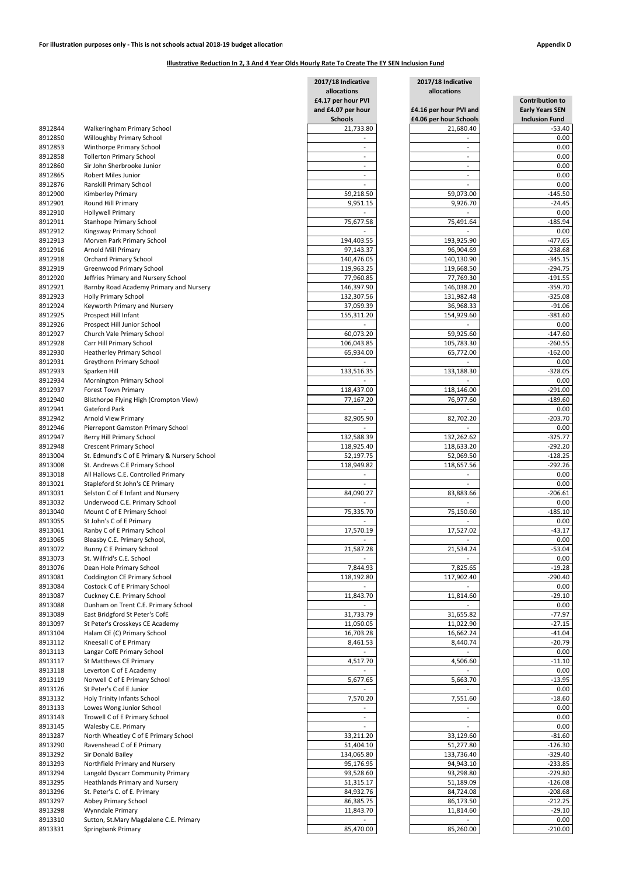|                    |                                                                      | 2017/18 Indicative                       | 2017/18 Indicative                    |                                                  |  |
|--------------------|----------------------------------------------------------------------|------------------------------------------|---------------------------------------|--------------------------------------------------|--|
|                    |                                                                      | allocations                              | allocations<br>£4.16 per hour PVI and | <b>Contribution to</b><br><b>Early Years SEN</b> |  |
|                    |                                                                      | £4.17 per hour PVI<br>and £4.07 per hour |                                       |                                                  |  |
|                    |                                                                      | <b>Schools</b>                           | £4.06 per hour Schools                | <b>Inclusion Fund</b>                            |  |
| 8912844            | Walkeringham Primary School                                          | 21,733.80                                | 21,680.40                             | $-53.40$                                         |  |
| 8912850            | Willoughby Primary School                                            |                                          |                                       | 0.00                                             |  |
| 8912853            | Winthorpe Primary School                                             | $\overline{\phantom{a}}$                 |                                       | 0.00                                             |  |
| 8912858            | <b>Tollerton Primary School</b>                                      |                                          |                                       | 0.00                                             |  |
| 8912860            | Sir John Sherbrooke Junior                                           |                                          |                                       | 0.00                                             |  |
| 8912865            | Robert Miles Junior                                                  |                                          |                                       | 0.00                                             |  |
| 8912876            | Ranskill Primary School                                              |                                          |                                       | 0.00                                             |  |
| 8912900            | Kimberley Primary                                                    | 59,218.50                                | 59,073.00                             | $-145.50$                                        |  |
| 8912901            | Round Hill Primary                                                   | 9,951.15                                 | 9,926.70                              | $-24.45$                                         |  |
| 8912910            | <b>Hollywell Primary</b>                                             |                                          |                                       | 0.00                                             |  |
| 8912911            | Stanhope Primary School                                              | 75,677.58                                | 75,491.64                             | $-185.94$                                        |  |
| 8912912            | Kingsway Primary School                                              |                                          |                                       | 0.00                                             |  |
| 8912913<br>8912916 | Morven Park Primary School<br>Arnold Mill Primary                    | 194,403.55<br>97,143.37                  | 193,925.90<br>96,904.69               | $-477.65$<br>$-238.68$                           |  |
| 8912918            | <b>Orchard Primary School</b>                                        | 140,476.05                               | 140,130.90                            | $-345.15$                                        |  |
| 8912919            | Greenwood Primary School                                             | 119,963.25                               | 119,668.50                            | $-294.75$                                        |  |
| 8912920            | Jeffries Primary and Nursery School                                  | 77,960.85                                | 77,769.30                             | $-191.55$                                        |  |
| 8912921            | Barnby Road Academy Primary and Nursery                              | 146,397.90                               | 146,038.20                            | $-359.70$                                        |  |
| 8912923            | <b>Holly Primary School</b>                                          | 132,307.56                               | 131,982.48                            | $-325.08$                                        |  |
| 8912924            | Keyworth Primary and Nursery                                         | 37,059.39                                | 36,968.33                             | $-91.06$                                         |  |
| 8912925            | Prospect Hill Infant                                                 | 155,311.20                               | 154,929.60                            | $-381.60$                                        |  |
| 8912926            | Prospect Hill Junior School                                          |                                          |                                       | 0.00                                             |  |
| 8912927            | Church Vale Primary School                                           | 60,073.20                                | 59,925.60                             | $-147.60$                                        |  |
| 8912928            | Carr Hill Primary School                                             | 106,043.85                               | 105,783.30                            | $-260.55$                                        |  |
| 8912930            | <b>Heatherley Primary School</b>                                     | 65,934.00                                | 65,772.00                             | $-162.00$                                        |  |
| 8912931            | <b>Greythorn Primary School</b>                                      |                                          |                                       | 0.00                                             |  |
| 8912933            | Sparken Hill                                                         | 133,516.35                               | 133,188.30                            | $-328.05$                                        |  |
| 8912934            | <b>Mornington Primary School</b>                                     |                                          |                                       | 0.00                                             |  |
| 8912937<br>8912940 | <b>Forest Town Primary</b><br>Blisthorpe Flying High (Crompton View) | 118,437.00<br>77,167.20                  | 118,146.00<br>76,977.60               | $-291.00$<br>$-189.60$                           |  |
| 8912941            | Gateford Park                                                        |                                          |                                       | $0.00\,$                                         |  |
| 8912942            | <b>Arnold View Primary</b>                                           | 82,905.90                                | 82,702.20                             | $-203.70$                                        |  |
| 8912946            | Pierrepont Gamston Primary School                                    |                                          |                                       | 0.00                                             |  |
| 8912947            | Berry Hill Primary School                                            | 132,588.39                               | 132,262.62                            | $-325.77$                                        |  |
| 8912948            | <b>Crescent Primary School</b>                                       | 118,925.40                               | 118,633.20                            | $-292.20$                                        |  |
| 8913004            | St. Edmund's C of E Primary & Nursery School                         | 52,197.75                                | 52,069.50                             | $-128.25$                                        |  |
| 8913008            | St. Andrews C.E Primary School                                       | 118,949.82                               | 118,657.56                            | $-292.26$                                        |  |
| 8913018            | All Hallows C.E. Controlled Primary                                  |                                          |                                       | 0.00                                             |  |
| 8913021            | Stapleford St John's CE Primary                                      |                                          |                                       | 0.00                                             |  |
| 8913031            | Selston C of E Infant and Nursery                                    | 84,090.27                                | 83,883.66                             | $-206.61$                                        |  |
| 8913032            | Underwood C.E. Primary School                                        |                                          |                                       | 0.00                                             |  |
| 8913040            | Mount C of E Primary School                                          | 75,335.70                                | 75,150.60                             | $-185.10$                                        |  |
| 8913055            | St John's C of E Primary                                             |                                          |                                       | 0.00                                             |  |
| 8913061            | Ranby C of E Primary School                                          | 17,570.19                                | 17,527.02                             | $-43.17$                                         |  |
| 8913065<br>8913072 | Bleasby C.E. Primary School,<br><b>Bunny C E Primary School</b>      | 21,587.28                                | 21,534.24                             | 0.00<br>$-53.04$                                 |  |
| 8913073            | St. Wilfrid's C.E. School                                            |                                          |                                       | 0.00                                             |  |
| 8913076            | Dean Hole Primary School                                             | 7,844.93                                 | 7,825.65                              | $-19.28$                                         |  |
| 8913081            | Coddington CE Primary School                                         | 118,192.80                               | 117,902.40                            | $-290.40$                                        |  |
| 8913084            | Costock C of E Primary School                                        |                                          |                                       | 0.00                                             |  |
| 8913087            | Cuckney C.E. Primary School                                          | 11,843.70                                | 11,814.60                             | $-29.10$                                         |  |
| 8913088            | Dunham on Trent C.E. Primary School                                  |                                          |                                       | 0.00                                             |  |
| 8913089            | East Bridgford St Peter's CofE                                       | 31,733.79                                | 31,655.82                             | $-77.97$                                         |  |
| 8913097            | St Peter's Crosskeys CE Academy                                      | 11,050.05                                | 11,022.90                             | $-27.15$                                         |  |
| 8913104            | Halam CE (C) Primary School                                          | 16,703.28                                | 16,662.24                             | $-41.04$                                         |  |
| 8913112            | Kneesall C of E Primary                                              | 8,461.53                                 | 8,440.74                              | $-20.79$                                         |  |
| 8913113            | Langar CofE Primary School                                           |                                          |                                       | 0.00                                             |  |
| 8913117            | St Matthews CE Primary                                               | 4,517.70                                 | 4,506.60                              | $-11.10$                                         |  |
| 8913118            | Leverton C of E Academy                                              |                                          |                                       | 0.00                                             |  |
| 8913119<br>8913126 | Norwell C of E Primary School<br>St Peter's C of E Junior            | 5,677.65                                 | 5,663.70                              | $-13.95$<br>0.00                                 |  |
| 8913132            | Holy Trinity Infants School                                          | 7,570.20                                 | 7,551.60                              | $-18.60$                                         |  |
| 8913133            | Lowes Wong Junior School                                             |                                          |                                       | 0.00                                             |  |
| 8913143            | Trowell C of E Primary School                                        |                                          |                                       | 0.00                                             |  |
| 8913145            | Walesby C.E. Primary                                                 |                                          |                                       | 0.00                                             |  |
| 8913287            | North Wheatley C of E Primary School                                 | 33,211.20                                | 33,129.60                             | $-81.60$                                         |  |
| 8913290            | Ravenshead C of E Primary                                            | 51,404.10                                | 51,277.80                             | $-126.30$                                        |  |
| 8913292            | Sir Donald Bailey                                                    | 134,065.80                               | 133,736.40                            | $-329.40$                                        |  |
| 8913293            | Northfield Primary and Nursery                                       | 95,176.95                                | 94,943.10                             | $-233.85$                                        |  |
| 8913294            | Langold Dyscarr Community Primary                                    | 93,528.60                                | 93,298.80                             | $-229.80$                                        |  |
| 8913295            | <b>Heathlands Primary and Nursery</b>                                | 51,315.17                                | 51,189.09                             | $-126.08$                                        |  |
| 8913296            | St. Peter's C. of E. Primary                                         | 84,932.76                                | 84,724.08                             | $-208.68$                                        |  |
| 8913297            | Abbey Primary School                                                 | 86,385.75                                | 86,173.50                             | $-212.25$                                        |  |
| 8913298            | Wynndale Primary                                                     | 11,843.70                                | 11,814.60                             | $-29.10$                                         |  |
| 8913310            | Sutton, St.Mary Magdalene C.E. Primary                               |                                          |                                       | 0.00                                             |  |
| 8913331            | Springbank Primary                                                   | 85,470.00                                | 85,260.00                             | $-210.00$                                        |  |